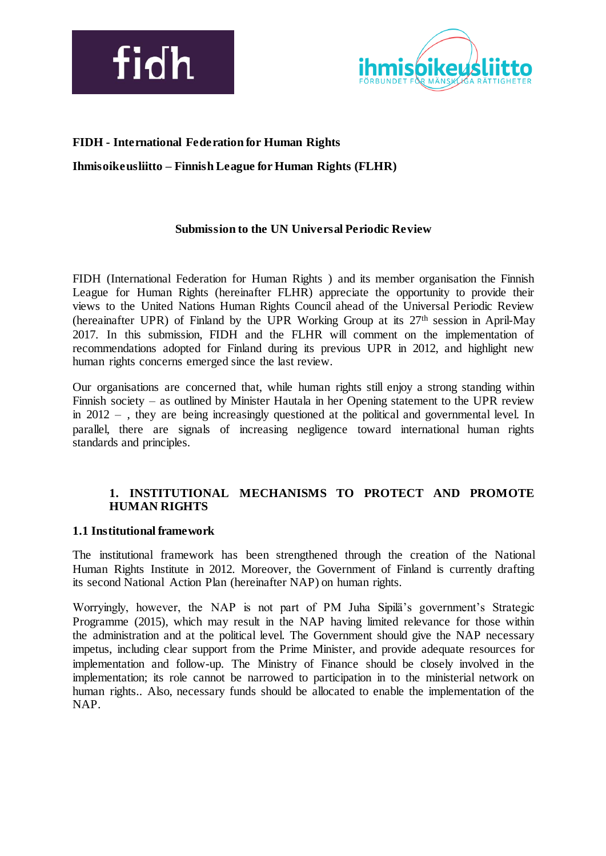



## **FIDH - International Federation for Human Rights**

**Ihmisoikeusliitto – Finnish League for Human Rights (FLHR)**

### **Submission to the UN Universal Periodic Review**

FIDH (International Federation for Human Rights ) and its member organisation the Finnish League for Human Rights (hereinafter FLHR) appreciate the opportunity to provide their views to the United Nations Human Rights Council ahead of the Universal Periodic Review (hereainafter UPR) of Finland by the UPR Working Group at its 27th session in April-May 2017. In this submission, FIDH and the FLHR will comment on the implementation of recommendations adopted for Finland during its previous UPR in 2012, and highlight new human rights concerns emerged since the last review.

Our organisations are concerned that, while human rights still enjoy a strong standing within Finnish society – as outlined by Minister Hautala in her Opening statement to the UPR review in 2012 – , they are being increasingly questioned at the political and governmental level. In parallel, there are signals of increasing negligence toward international human rights standards and principles.

## **1. INSTITUTIONAL MECHANISMS TO PROTECT AND PROMOTE HUMAN RIGHTS**

### **1.1 Institutional framework**

The institutional framework has been strengthened through the creation of the National Human Rights Institute in 2012. Moreover, the Government of Finland is currently drafting its second National Action Plan (hereinafter NAP) on human rights.

Worryingly, however, the NAP is not part of PM Juha Sipilä's government's Strategic Programme (2015), which may result in the NAP having limited relevance for those within the administration and at the political level. The Government should give the NAP necessary impetus, including clear support from the Prime Minister, and provide adequate resources for implementation and follow-up. The Ministry of Finance should be closely involved in the implementation; its role cannot be narrowed to participation in to the ministerial network on human rights.. Also, necessary funds should be allocated to enable the implementation of the NAP.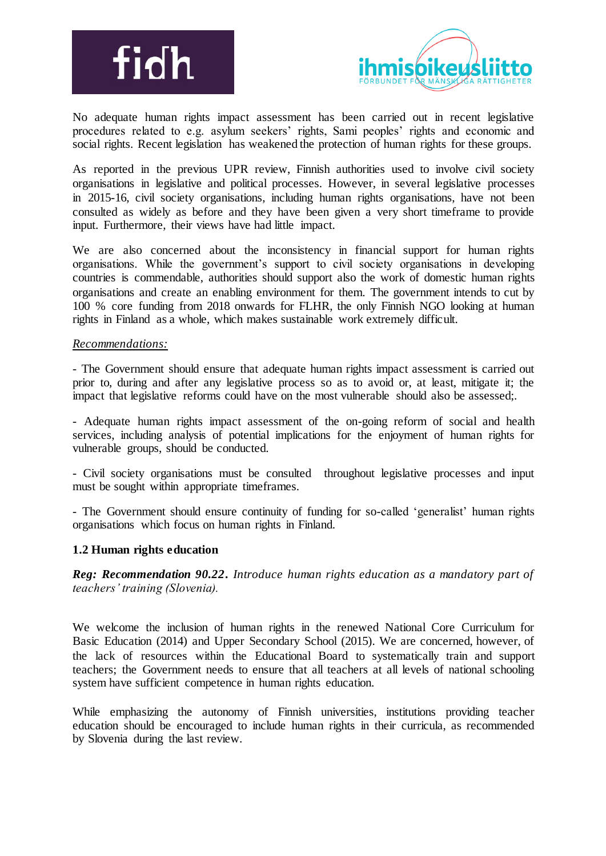



No adequate human rights impact assessment has been carried out in recent legislative procedures related to e.g. asylum seekers' rights, Sami peoples' rights and economic and social rights. Recent legislation has weakened the protection of human rights for these groups.

As reported in the previous UPR review, Finnish authorities used to involve civil society organisations in legislative and political processes. However, in several legislative processes in 2015-16, civil society organisations, including human rights organisations, have not been consulted as widely as before and they have been given a very short timeframe to provide input. Furthermore, their views have had little impact.

We are also concerned about the inconsistency in financial support for human rights organisations. While the government's support to civil society organisations in developing countries is commendable, authorities should support also the work of domestic human rights organisations and create an enabling environment for them. The government intends to cut by 100 % core funding from 2018 onwards for FLHR, the only Finnish NGO looking at human rights in Finland as a whole, which makes sustainable work extremely difficult.

### *Recommendations:*

*-* The Government should ensure that adequate human rights impact assessment is carried out prior to, during and after any legislative process so as to avoid or, at least, mitigate it; the impact that legislative reforms could have on the most vulnerable should also be assessed;.

- Adequate human rights impact assessment of the on-going reform of social and health services, including analysis of potential implications for the enjoyment of human rights for vulnerable groups, should be conducted.

- Civil society organisations must be consulted throughout legislative processes and input must be sought within appropriate timeframes.

- The Government should ensure continuity of funding for so-called 'generalist' human rights organisations which focus on human rights in Finland.

## **1.2 Human rights education**

*Reg: Recommendation 90.22***.** *Introduce human rights education as a mandatory part of teachers' training (Slovenia).*

We welcome the inclusion of human rights in the renewed National Core Curriculum for Basic Education (2014) and Upper Secondary School (2015). We are concerned, however, of the lack of resources within the Educational Board to systematically train and support teachers; the Government needs to ensure that all teachers at all levels of national schooling system have sufficient competence in human rights education.

While emphasizing the autonomy of Finnish universities, institutions providing teacher education should be encouraged to include human rights in their curricula, as recommended by Slovenia during the last review.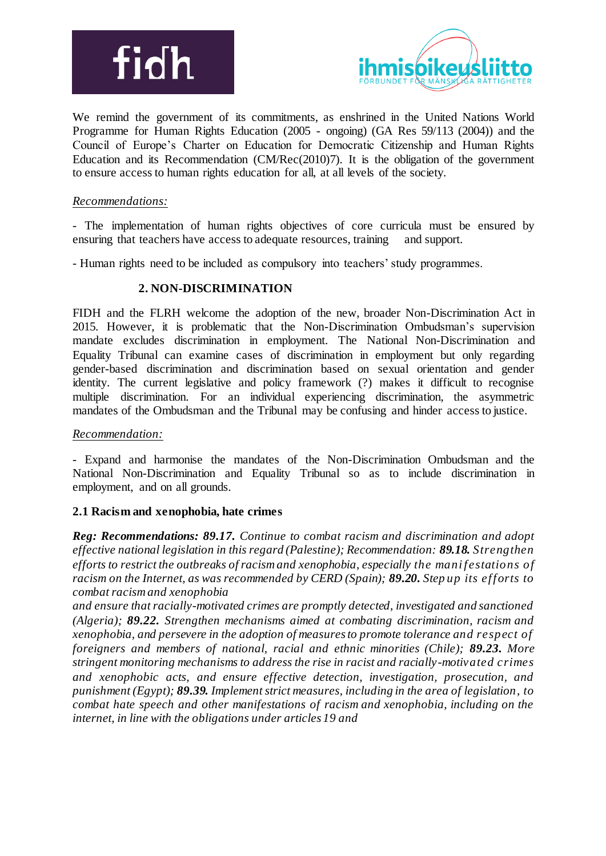



We remind the government of its commitments, as enshrined in the United Nations World Programme for Human Rights Education (2005 - ongoing) (GA Res 59/113 (2004)) and the Council of Europe's Charter on Education for Democratic Citizenship and Human Rights Education and its Recommendation (CM/Rec(2010)7). It is the obligation of the government to ensure access to human rights education for all, at all levels of the society.

## *Recommendations:*

- The implementation of human rights objectives of core curricula must be ensured by ensuring that teachers have access to adequate resources, training and support.

- Human rights need to be included as compulsory into teachers' study programmes.

## **2. NON-DISCRIMINATION**

FIDH and the FLRH welcome the adoption of the new, broader Non-Discrimination Act in 2015. However, it is problematic that the Non-Discrimination Ombudsman's supervision mandate excludes discrimination in employment. The National Non-Discrimination and Equality Tribunal can examine cases of discrimination in employment but only regarding gender-based discrimination and discrimination based on sexual orientation and gender identity. The current legislative and policy framework (?) makes it difficult to recognise multiple discrimination. For an individual experiencing discrimination, the asymmetric mandates of the Ombudsman and the Tribunal may be confusing and hinder access to justice.

### *Recommendation:*

- Expand and harmonise the mandates of the Non-Discrimination Ombudsman and the National Non-Discrimination and Equality Tribunal so as to include discrimination in employment, and on all grounds.

## **2.1 Racism and xenophobia, hate crimes**

*Reg: Recommendations: 89.17. Continue to combat racism and discrimination and adopt effective national legislation in this regard (Palestine); Recommendation: 89.18. Strengthen efforts to restrict the outbreaks of racism and xenophobia, especially the mani festations of racism on the Internet, as was recommended by CERD (Spain); 89.20. Step up its efforts to combat racism and xenophobia*

*and ensure that racially-motivated crimes are promptly detected, investigated and sanctioned (Algeria); 89.22. Strengthen mechanisms aimed at combating discrimination, racism and xenophobia, and persevere in the adoption of measures to promote tolerance and respect of foreigners and members of national, racial and ethnic minorities (Chile); 89.23. More stringent monitoring mechanisms to address the rise in racist and racially-motivated crimes and xenophobic acts, and ensure effective detection, investigation, prosecution, and punishment (Egypt); 89.39. Implement strict measures, including in the area of legislation, to combat hate speech and other manifestations of racism and xenophobia, including on the internet, in line with the obligations under articles 19 and*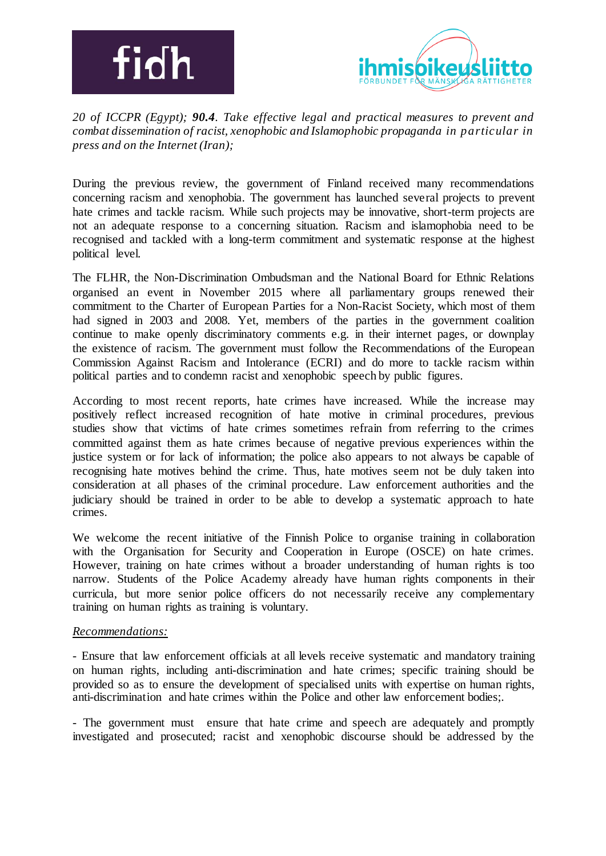



*20 of ICCPR (Egypt); 90.4. Take effective legal and practical measures to prevent and combat dissemination of racist, xenophobic and Islamophobic propaganda in particular in press and on the Internet (Iran);*

During the previous review, the government of Finland received many recommendations concerning racism and xenophobia. The government has launched several projects to prevent hate crimes and tackle racism. While such projects may be innovative, short-term projects are not an adequate response to a concerning situation. Racism and islamophobia need to be recognised and tackled with a long-term commitment and systematic response at the highest political level.

The FLHR, the Non-Discrimination Ombudsman and the National Board for Ethnic Relations organised an event in November 2015 where all parliamentary groups renewed their commitment to the Charter of European Parties for a Non-Racist Society, which most of them had signed in 2003 and 2008. Yet, members of the parties in the government coalition continue to make openly discriminatory comments e.g. in their internet pages, or downplay the existence of racism. The government must follow the Recommendations of the European Commission Against Racism and Intolerance (ECRI) and do more to tackle racism within political parties and to condemn racist and xenophobic speech by public figures.

According to most recent reports, hate crimes have increased. While the increase may positively reflect increased recognition of hate motive in criminal procedures, previous studies show that victims of hate crimes sometimes refrain from referring to the crimes committed against them as hate crimes because of negative previous experiences within the justice system or for lack of information; the police also appears to not always be capable of recognising hate motives behind the crime. Thus, hate motives seem not be duly taken into consideration at all phases of the criminal procedure. Law enforcement authorities and the judiciary should be trained in order to be able to develop a systematic approach to hate crimes.

We welcome the recent initiative of the Finnish Police to organise training in collaboration with the Organisation for Security and Cooperation in Europe (OSCE) on hate crimes. However, training on hate crimes without a broader understanding of human rights is too narrow. Students of the Police Academy already have human rights components in their curricula, but more senior police officers do not necessarily receive any complementary training on human rights as training is voluntary.

### *Recommendations:*

- Ensure that law enforcement officials at all levels receive systematic and mandatory training on human rights, including anti-discrimination and hate crimes; specific training should be provided so as to ensure the development of specialised units with expertise on human rights, anti-discrimination and hate crimes within the Police and other law enforcement bodies;.

- The government must ensure that hate crime and speech are adequately and promptly investigated and prosecuted; racist and xenophobic discourse should be addressed by the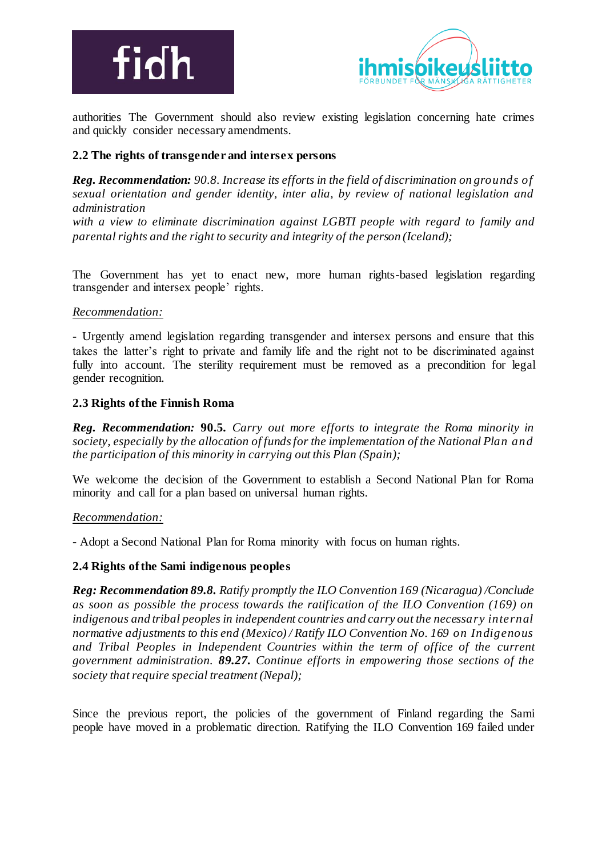



authorities The Government should also review existing legislation concerning hate crimes and quickly consider necessary amendments.

## **2.2 The rights of transgender and intersex persons**

*Reg. Recommendation: 90.8. Increase its efforts in the field of discrimination on grounds of sexual orientation and gender identity, inter alia, by review of national legislation and administration*

*with a view to eliminate discrimination against LGBTI people with regard to family and parental rights and the right to security and integrity of the person (Iceland);*

The Government has yet to enact new, more human rights-based legislation regarding transgender and intersex people' rights.

## *Recommendation:*

- Urgently amend legislation regarding transgender and intersex persons and ensure that this takes the latter's right to private and family life and the right not to be discriminated against fully into account. The sterility requirement must be removed as a precondition for legal gender recognition.

### **2.3 Rights of the Finnish Roma**

*Reg. Recommendation:* **90.5***. Carry out more efforts to integrate the Roma minority in society, especially by the allocation of funds for the implementation of the National Plan and the participation of this minority in carrying out this Plan (Spain);*

We welcome the decision of the Government to establish a Second National Plan for Roma minority and call for a plan based on universal human rights.

### *Recommendation:*

- Adopt a Second National Plan for Roma minority with focus on human rights.

### **2.4 Rights of the Sami indigenous peoples**

*Reg: Recommendation 89.8. Ratify promptly the ILO Convention 169 (Nicaragua) /Conclude as soon as possible the process towards the ratification of the ILO Convention (169) on indigenous and tribal peoples in independent countries and carry out the necessary internal normative adjustments to this end (Mexico) / Ratify ILO Convention No. 169 on Indigenous and Tribal Peoples in Independent Countries within the term of office of the current government administration. 89.27. Continue efforts in empowering those sections of the society that require special treatment (Nepal);*

Since the previous report, the policies of the government of Finland regarding the Sami people have moved in a problematic direction. Ratifying the ILO Convention 169 failed under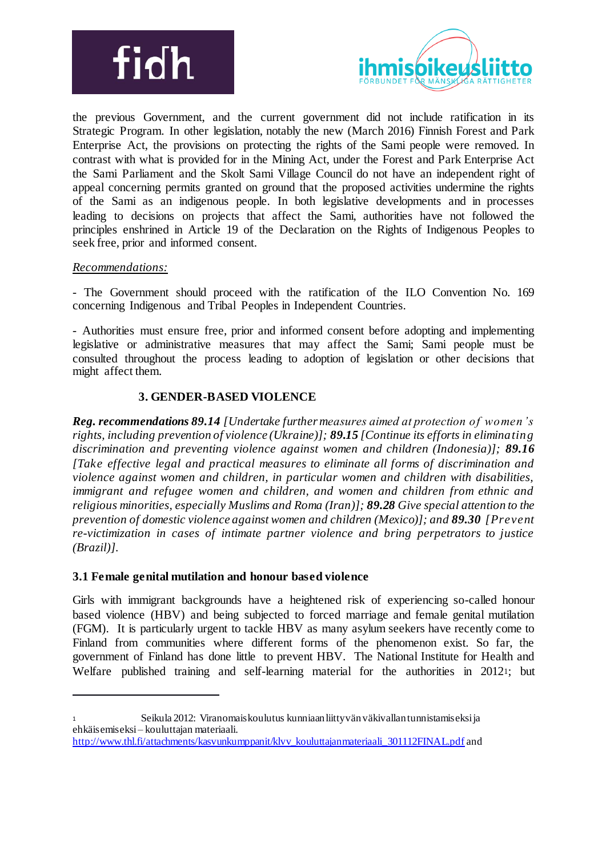



the previous Government, and the current government did not include ratification in its Strategic Program. In other legislation, notably the new (March 2016) Finnish Forest and Park Enterprise Act, the provisions on protecting the rights of the Sami people were removed. In contrast with what is provided for in the Mining Act, under the Forest and Park Enterprise Act the Sami Parliament and the Skolt Sami Village Council do not have an independent right of appeal concerning permits granted on ground that the proposed activities undermine the rights of the Sami as an indigenous people. In both legislative developments and in processes leading to decisions on projects that affect the Sami, authorities have not followed the principles enshrined in Article 19 of the Declaration on the Rights of Indigenous Peoples to seek free, prior and informed consent.

## *Recommendations:*

<u>.</u>

- The Government should proceed with the ratification of the ILO Convention No. 169 concerning Indigenous and Tribal Peoples in Independent Countries.

- Authorities must ensure free, prior and informed consent before adopting and implementing legislative or administrative measures that may affect the Sami; Sami people must be consulted throughout the process leading to adoption of legislation or other decisions that might affect them.

## **3. GENDER-BASED VIOLENCE**

*Reg. recommendations 89.14 [Undertake further measures aimed at protection of women's rights, including prevention of violence (Ukraine)]; 89.15 [Continue its efforts in eliminating discrimination and preventing violence against women and children (Indonesia)]; 89.16 [Take effective legal and practical measures to eliminate all forms of discrimination and violence against women and children, in particular women and children with disabilities, immigrant and refugee women and children, and women and children from ethnic and religious minorities, especially Muslims and Roma (Iran)]; 89.28 Give special attention to the prevention of domestic violence against women and children (Mexico)]; and 89.30 [Prevent re-victimization in cases of intimate partner violence and bring perpetrators to justice (Brazil)].*

## **3.1 Female genital mutilation and honour based violence**

Girls with immigrant backgrounds have a heightened risk of experiencing so-called honour based violence (HBV) and being subjected to forced marriage and female genital mutilation (FGM). It is particularly urgent to tackle HBV as many asylum seekers have recently come to Finland from communities where different forms of the phenomenon exist. So far, the government of Finland has done little to prevent HBV. The National Institute for Health and Welfare published training and self-learning material for the authorities in 20121; but

<sup>1</sup> Seikula 2012: Viranomaiskoulutus kunniaan liittyvän väkivallan tunnistamiseksi ja ehkäisemiseksi – kouluttajan materiaali.

http://www.thl.fi/attachments/kasvunkumppanit/klvv\_kouluttajanmateriaali\_301112FINAL.pdf and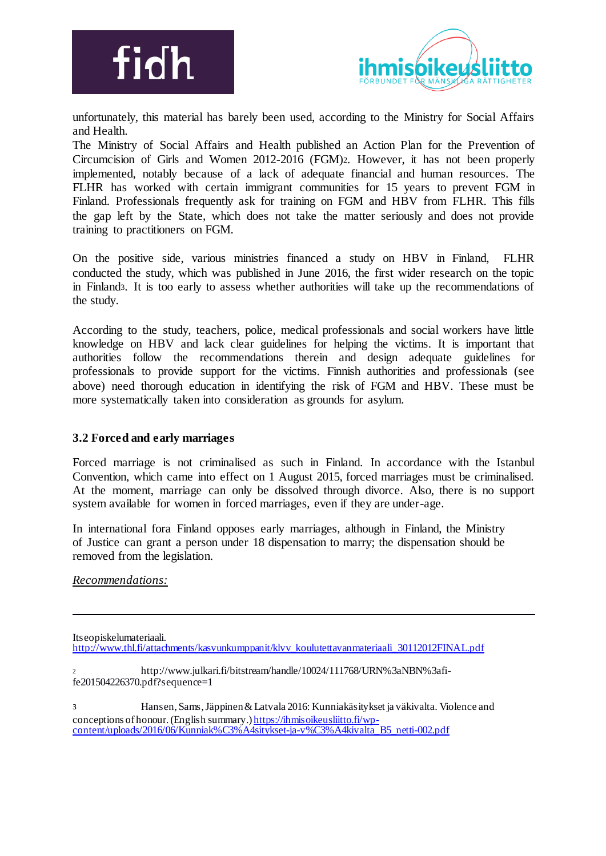



unfortunately, this material has barely been used, according to the Ministry for Social Affairs and Health.

The Ministry of Social Affairs and Health published an Action Plan for the Prevention of Circumcision of Girls and Women 2012-2016 (FGM)2. However, it has not been properly implemented, notably because of a lack of adequate financial and human resources. The FLHR has worked with certain immigrant communities for 15 years to prevent FGM in Finland. Professionals frequently ask for training on FGM and HBV from FLHR. This fills the gap left by the State, which does not take the matter seriously and does not provide training to practitioners on FGM.

On the positive side, various ministries financed a study on HBV in Finland, FLHR conducted the study, which was published in June 2016, the first wider research on the topic in Finland3. It is too early to assess whether authorities will take up the recommendations of the study.

According to the study, teachers, police, medical professionals and social workers have little knowledge on HBV and lack clear guidelines for helping the victims. It is important that authorities follow the recommendations therein and design adequate guidelines for professionals to provide support for the victims. Finnish authorities and professionals (see above) need thorough education in identifying the risk of FGM and HBV. These must be more systematically taken into consideration as grounds for asylum.

## **3.2 Forced and early marriages**

Forced marriage is not criminalised as such in Finland. In accordance with the Istanbul Convention, which came into effect on 1 August 2015, forced marriages must be criminalised. At the moment, marriage can only be dissolved through divorce. Also, there is no support system available for women in forced marriages, even if they are under-age.

In international fora Finland opposes early marriages, although in Finland, the Ministry of Justice can grant a person under 18 dispensation to marry; the dispensation should be removed from the legislation.

*Recommendations:*

Itseopiskelumateriaali.

-

http://www.thl.fi/attachments/kasvunkumppanit/klvv\_koulutettavanmateriaali\_30112012FINAL.pdf

<sup>2</sup> http://www.julkari.fi/bitstream/handle/10024/111768/URN%3aNBN%3afife201504226370.pdf?sequence=1

3 Hansen, Sams, Jäppinen & Latvala 2016: Kunniakäsitykset ja väkivalta. Violence and conceptions of honour. (English summary.) https://ihmisoikeusliitto.fi/wpcontent/uploads/2016/06/Kunniak%C3%A4sitykset-ja-v%C3%A4kivalta\_B5\_netti-002.pdf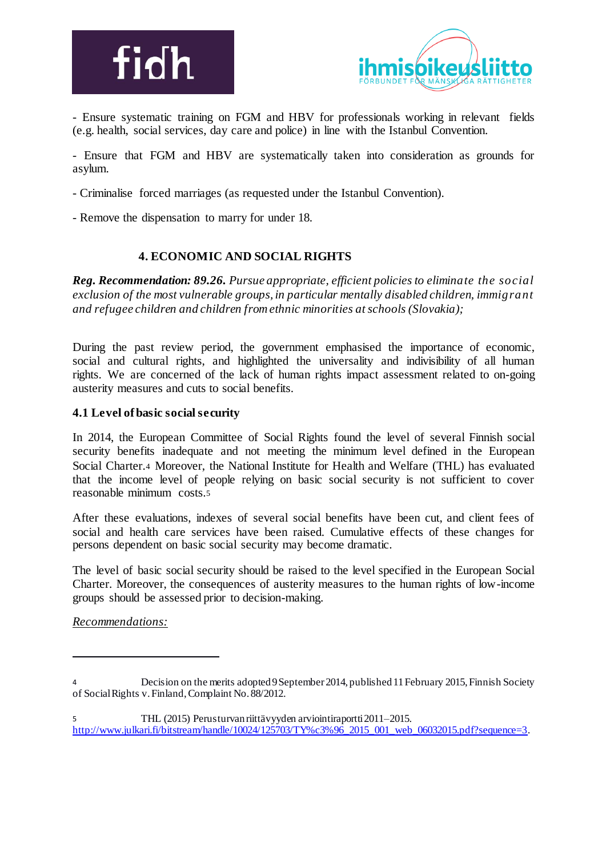



- Ensure systematic training on FGM and HBV for professionals working in relevant fields (e.g. health, social services, day care and police) in line with the Istanbul Convention.

- Ensure that FGM and HBV are systematically taken into consideration as grounds for asylum.

- Criminalise forced marriages (as requested under the Istanbul Convention).

- Remove the dispensation to marry for under 18.

## **4. ECONOMIC AND SOCIAL RIGHTS**

*Reg. Recommendation: 89.26. Pursue appropriate, efficient policies to eliminate the social exclusion of the most vulnerable groups, in particular mentally disabled children, immigrant and refugee children and children from ethnic minorities at schools (Slovakia);*

During the past review period, the government emphasised the importance of economic, social and cultural rights, and highlighted the universality and indivisibility of all human rights. We are concerned of the lack of human rights impact assessment related to on-going austerity measures and cuts to social benefits.

## **4.1 Level of basic social security**

In 2014, the European Committee of Social Rights found the level of several Finnish social security benefits inadequate and not meeting the minimum level defined in the European Social Charter.<sup>4</sup> Moreover, the National Institute for Health and Welfare (THL) has evaluated that the income level of people relying on basic social security is not sufficient to cover reasonable minimum costs.<sup>5</sup>

After these evaluations, indexes of several social benefits have been cut, and client fees of social and health care services have been raised. Cumulative effects of these changes for persons dependent on basic social security may become dramatic.

The level of basic social security should be raised to the level specified in the European Social Charter. Moreover, the consequences of austerity measures to the human rights of low-income groups should be assessed prior to decision-making.

*Recommendations:*

-

<sup>4</sup> Decision on the merits adopted 9 September 2014, published 11 February 2015, Finnish Society of Social Rights v. Finland, Complaint No. 88/2012.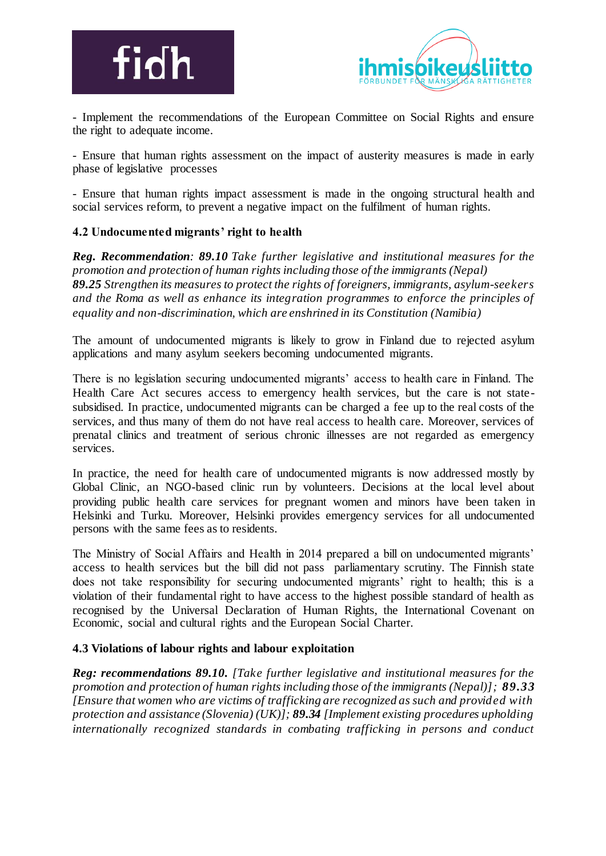



- Implement the recommendations of the European Committee on Social Rights and ensure the right to adequate income.

- Ensure that human rights assessment on the impact of austerity measures is made in early phase of legislative processes

- Ensure that human rights impact assessment is made in the ongoing structural health and social services reform, to prevent a negative impact on the fulfilment of human rights.

## **4.2 Undocumented migrants' right to health**

*Reg. Recommendation: 89.10 Take further legislative and institutional measures for the promotion and protection of human rights including those of the immigrants (Nepal) 89.25 Strengthen its measures to protect the rights of foreigners, immigrants, asylum-seekers and the Roma as well as enhance its integration programmes to enforce the principles of equality and non-discrimination, which are enshrined in its Constitution (Namibia)*

The amount of undocumented migrants is likely to grow in Finland due to rejected asylum applications and many asylum seekers becoming undocumented migrants.

There is no legislation securing undocumented migrants' access to health care in Finland. The Health Care Act secures access to emergency health services, but the care is not state subsidised. In practice, undocumented migrants can be charged a fee up to the real costs of the services, and thus many of them do not have real access to health care. Moreover, services of prenatal clinics and treatment of serious chronic illnesses are not regarded as emergency services.

In practice, the need for health care of undocumented migrants is now addressed mostly by Global Clinic, an NGO-based clinic run by volunteers. Decisions at the local level about providing public health care services for pregnant women and minors have been taken in Helsinki and Turku. Moreover, Helsinki provides emergency services for all undocumented persons with the same fees as to residents.

The Ministry of Social Affairs and Health in 2014 prepared a bill on undocumented migrants' access to health services but the bill did not pass parliamentary scrutiny. The Finnish state does not take responsibility for securing undocumented migrants' right to health; this is a violation of their fundamental right to have access to the highest possible standard of health as recognised by the Universal Declaration of Human Rights, the International Covenant on Economic, social and cultural rights and the European Social Charter.

## **4.3 Violations of labour rights and labour exploitation**

*Reg: recommendations 89.10. [Take further legislative and institutional measures for the promotion and protection of human rights including those of the immigrants (Nepal)]; 89.33 [Ensure that women who are victims of trafficking are recognized as such and provided with protection and assistance (Slovenia) (UK)]; 89.34 [Implement existing procedures upholding internationally recognized standards in combating trafficking in persons and conduct*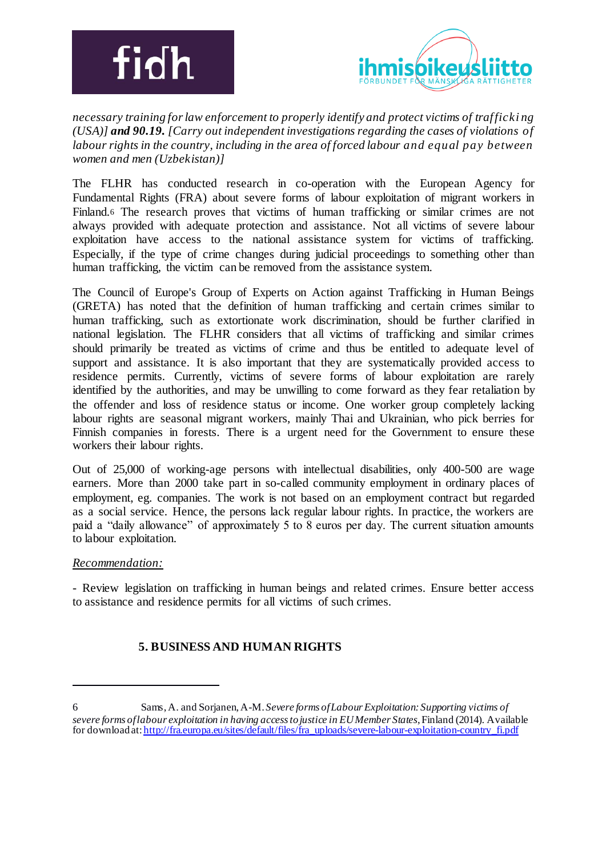



*necessary training for law enforcement to properly identify and protect victims of trafficki ng (USA)] and 90.19. [Carry out independent investigations regarding the cases of violations of labour rights in the country, including in the area of forced labour and equal pay between women and men (Uzbekistan)]*

The FLHR has conducted research in co-operation with the European Agency for Fundamental Rights (FRA) about severe forms of labour exploitation of migrant workers in Finland.<sup>6</sup> The research proves that victims of human trafficking or similar crimes are not always provided with adequate protection and assistance. Not all victims of severe labour exploitation have access to the national assistance system for victims of trafficking. Especially, if the type of crime changes during judicial proceedings to something other than human trafficking, the victim can be removed from the assistance system.

The Council of Europe's Group of Experts on Action against Trafficking in Human Beings (GRETA) has noted that the definition of human trafficking and certain crimes similar to human trafficking, such as extortionate work discrimination, should be further clarified in national legislation. The FLHR considers that all victims of trafficking and similar crimes should primarily be treated as victims of crime and thus be entitled to adequate level of support and assistance. It is also important that they are systematically provided access to residence permits. Currently, victims of severe forms of labour exploitation are rarely identified by the authorities, and may be unwilling to come forward as they fear retaliation by the offender and loss of residence status or income. One worker group completely lacking labour rights are seasonal migrant workers, mainly Thai and Ukrainian, who pick berries for Finnish companies in forests. There is a urgent need for the Government to ensure these workers their labour rights.

Out of 25,000 of working-age persons with intellectual disabilities, only 400-500 are wage earners. More than 2000 take part in so-called community employment in ordinary places of employment, eg. companies. The work is not based on an employment contract but regarded as a social service. Hence, the persons lack regular labour rights. In practice, the workers are paid a "daily allowance" of approximately 5 to 8 euros per day. The current situation amounts to labour exploitation.

## *Recommendation:*

-

- Review legislation on trafficking in human beings and related crimes. Ensure better access to assistance and residence permits for all victims of such crimes.

## **5. BUSINESS AND HUMAN RIGHTS**

<sup>6</sup> Sams, A. and Sorjanen, A-M. *Severe forms of Labour Exploitation: Supporting victims of severe forms of labour exploitation in having access to justice in EU Member States*, Finland (2014). Available for download at: http://fra.europa.eu/sites/default/files/fra\_uploads/severe-labour-exploitation-country\_fi.pdf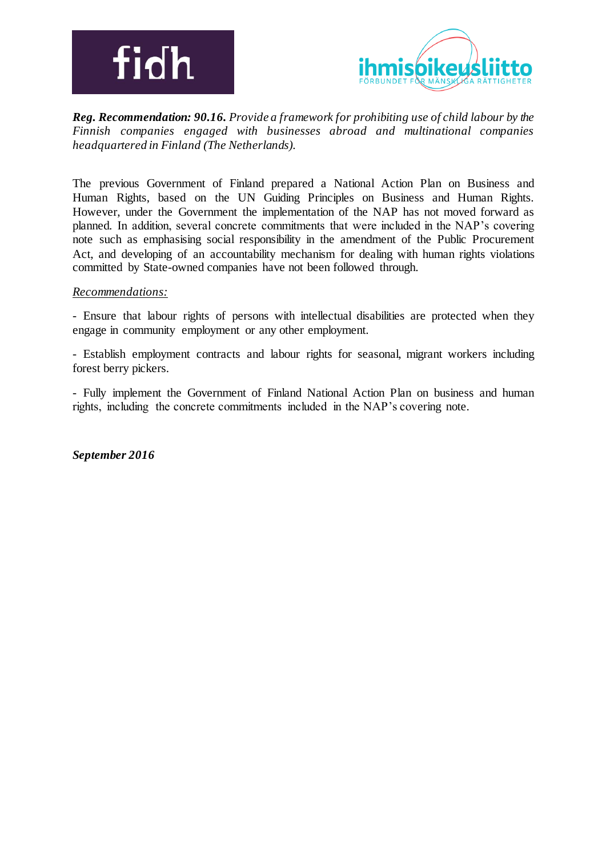



*Reg. Recommendation: 90.16. Provide a framework for prohibiting use of child labour by the Finnish companies engaged with businesses abroad and multinational companies headquartered in Finland (The Netherlands).* 

The previous Government of Finland prepared a National Action Plan on Business and Human Rights, based on the UN Guiding Principles on Business and Human Rights. However, under the Government the implementation of the NAP has not moved forward as planned. In addition, several concrete commitments that were included in the NAP's covering note such as emphasising social responsibility in the amendment of the Public Procurement Act, and developing of an accountability mechanism for dealing with human rights violations committed by State-owned companies have not been followed through.

### *Recommendations:*

*-* Ensure that labour rights of persons with intellectual disabilities are protected when they engage in community employment or any other employment.

- Establish employment contracts and labour rights for seasonal, migrant workers including forest berry pickers.

- Fully implement the Government of Finland National Action Plan on business and human rights, including the concrete commitments included in the NAP's covering note.

*September 2016*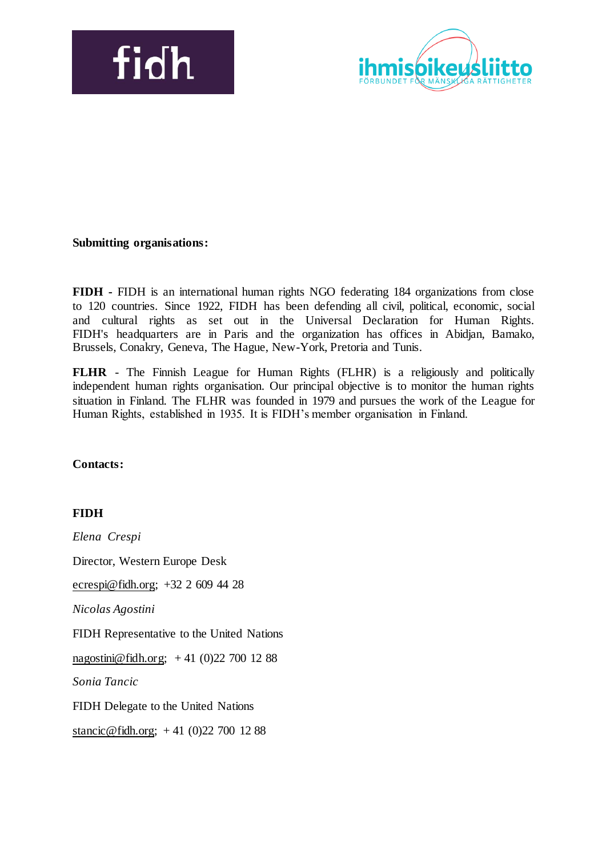



## **Submitting organisations:**

**FIDH -** FIDH is an international human rights NGO federating 184 organizations from close to 120 countries. Since 1922, FIDH has been defending all civil, political, economic, social and cultural rights as set out in the Universal Declaration for Human Rights. FIDH's headquarters are in Paris and the organization has offices in Abidjan, Bamako, Brussels, Conakry, Geneva, The Hague, New-York, Pretoria and Tunis.

**FLHR** - The Finnish League for Human Rights (FLHR) is a religiously and politically independent human rights organisation. Our principal objective is to monitor the human rights situation in Finland. The FLHR was founded in 1979 and pursues the work of the League for Human Rights, established in 1935. It is FIDH's member organisation in Finland.

### **Contacts:**

### **FIDH**

*Elena Crespi* Director, Western Europe Desk ecrespi@fidh.org; +32 2 609 44 28 *Nicolas Agostini*  FIDH Representative to the United Nations nagostini@fidh.org; + 41 (0)22 700 12 88 *Sonia Tancic* FIDH Delegate to the United Nations stancic@fidh.org; + 41 (0)22 700 12 88